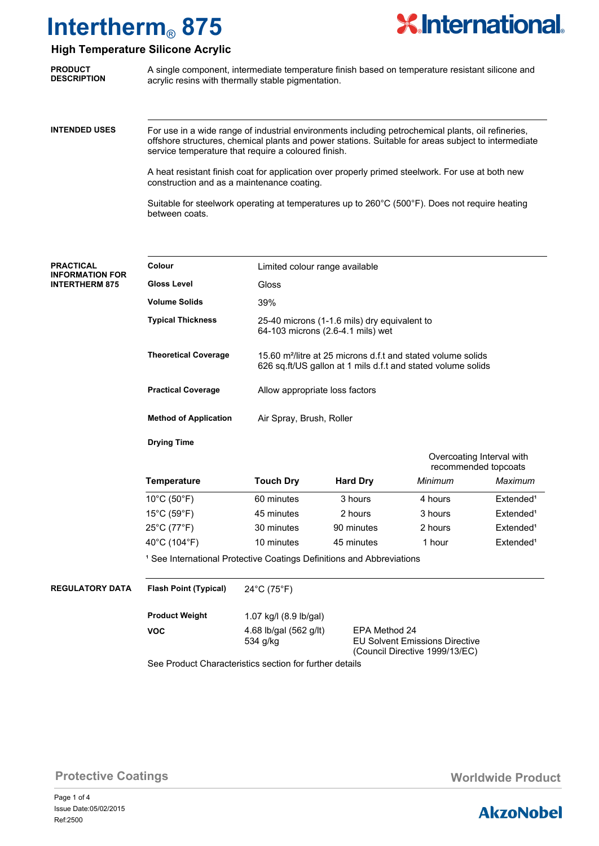

## **High Temperature Silicone Acrylic**

| <b>PRODUCT</b>     | A single component, intermediate temperature finish based on temperature resistant silicone and |
|--------------------|-------------------------------------------------------------------------------------------------|
| <b>DESCRIPTION</b> | acrylic resins with thermally stable pigmentation.                                              |
|                    |                                                                                                 |

**INTENDED USES**

For use in a wide range of industrial environments including petrochemical plants, oil refineries, offshore structures, chemical plants and power stations. Suitable for areas subject to intermediate service temperature that require a coloured finish.

A heat resistant finish coat for application over properly primed steelwork. For use at both new construction and as a maintenance coating.

Suitable for steelwork operating at temperatures up to 260°C (500°F). Does not require heating between coats.

| <b>PRACTICAL</b><br><b>INFORMATION FOR</b><br><b>INTERTHERM 875</b> | Colour                           | Limited colour range available                                                    |                                                                                                                                          |                                       |                                                   |  |
|---------------------------------------------------------------------|----------------------------------|-----------------------------------------------------------------------------------|------------------------------------------------------------------------------------------------------------------------------------------|---------------------------------------|---------------------------------------------------|--|
|                                                                     | <b>Gloss Level</b>               | <b>Gloss</b>                                                                      |                                                                                                                                          |                                       |                                                   |  |
|                                                                     | <b>Volume Solids</b>             | 39%                                                                               |                                                                                                                                          |                                       |                                                   |  |
|                                                                     | <b>Typical Thickness</b>         | 25-40 microns (1-1.6 mils) dry equivalent to<br>64-103 microns (2.6-4.1 mils) wet |                                                                                                                                          |                                       |                                                   |  |
|                                                                     | <b>Theoretical Coverage</b>      |                                                                                   | 15.60 m <sup>2</sup> /litre at 25 microns d.f.t and stated volume solids<br>626 sq.ft/US gallon at 1 mils d.f.t and stated volume solids |                                       |                                                   |  |
|                                                                     | <b>Practical Coverage</b>        | Allow appropriate loss factors                                                    |                                                                                                                                          |                                       |                                                   |  |
|                                                                     | <b>Method of Application</b>     | Air Spray, Brush, Roller                                                          |                                                                                                                                          |                                       |                                                   |  |
|                                                                     | <b>Drying Time</b>               |                                                                                   |                                                                                                                                          |                                       |                                                   |  |
|                                                                     |                                  |                                                                                   |                                                                                                                                          |                                       | Overcoating Interval with<br>recommended topcoats |  |
|                                                                     | <b>Temperature</b>               | <b>Touch Dry</b>                                                                  | <b>Hard Dry</b>                                                                                                                          | Minimum                               | Maximum                                           |  |
|                                                                     | 10°C (50°F)                      | 60 minutes                                                                        | 3 hours                                                                                                                                  | 4 hours                               | Extended <sup>1</sup>                             |  |
|                                                                     | $15^{\circ}$ C (59 $^{\circ}$ F) | 45 minutes                                                                        | 2 hours                                                                                                                                  | 3 hours                               | Extended <sup>1</sup>                             |  |
|                                                                     | 25°C (77°F)                      | 30 minutes                                                                        | 90 minutes                                                                                                                               | 2 hours                               | Extended <sup>1</sup>                             |  |
|                                                                     | 40°C (104°F)                     | 10 minutes                                                                        | 45 minutes                                                                                                                               | 1 hour                                | Extended <sup>1</sup>                             |  |
|                                                                     |                                  | <sup>1</sup> See International Protective Coatings Definitions and Abbreviations  |                                                                                                                                          |                                       |                                                   |  |
| <b>REGULATORY DATA</b>                                              | <b>Flash Point (Typical)</b>     | 24°C (75°F)                                                                       |                                                                                                                                          |                                       |                                                   |  |
|                                                                     | <b>Product Weight</b>            | 1.07 kg/l (8.9 lb/gal)                                                            |                                                                                                                                          |                                       |                                                   |  |
|                                                                     | <b>VOC</b>                       | 4.68 lb/gal (562 g/lt)<br>534 g/kg                                                | EPA Method 24                                                                                                                            | <b>EU Solvent Emissions Directive</b> |                                                   |  |
|                                                                     |                                  | See Product Characteristics section for further details                           |                                                                                                                                          | (Council Directive 1999/13/EC)        |                                                   |  |

# **Protective Coatings Monday Community Protective Coatings Worldwide Product**

Page 1 of 4 Ref:2500 Issue Date:05/02/2015

# **AkzoNobel**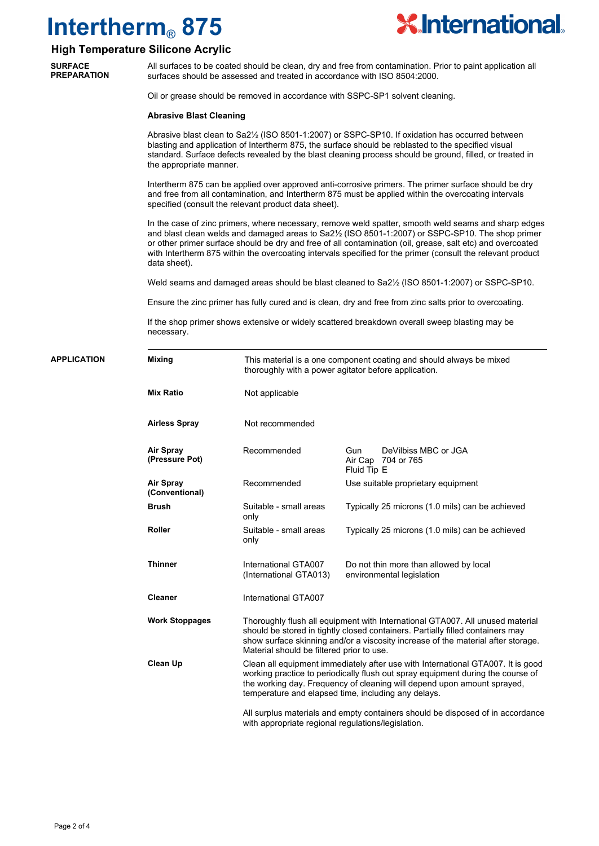

### **High Temperature Silicone Acrylic**

**SURFACE PREPARATION**

All surfaces to be coated should be clean, dry and free from contamination. Prior to paint application all surfaces should be assessed and treated in accordance with ISO 8504:2000.

Oil or grease should be removed in accordance with SSPC-SP1 solvent cleaning.

### **Abrasive Blast Cleaning**

Abrasive blast clean to Sa2½ (ISO 8501-1:2007) or SSPC-SP10. If oxidation has occurred between blasting and application of Intertherm 875, the surface should be reblasted to the specified visual standard. Surface defects revealed by the blast cleaning process should be ground, filled, or treated in the appropriate manner.

Intertherm 875 can be applied over approved anti-corrosive primers. The primer surface should be dry and free from all contamination, and Intertherm 875 must be applied within the overcoating intervals specified (consult the relevant product data sheet).

In the case of zinc primers, where necessary, remove weld spatter, smooth weld seams and sharp edges and blast clean welds and damaged areas to Sa2½ (ISO 8501-1:2007) or SSPC-SP10. The shop primer or other primer surface should be dry and free of all contamination (oil, grease, salt etc) and overcoated with Intertherm 875 within the overcoating intervals specified for the primer (consult the relevant product data sheet).

Weld seams and damaged areas should be blast cleaned to Sa2½ (ISO 8501-1:2007) or SSPC-SP10.

Ensure the zinc primer has fully cured and is clean, dry and free from zinc salts prior to overcoating.

If the shop primer shows extensive or widely scattered breakdown overall sweep blasting may be necessary.

| <b>APPLICATION</b> | <b>Mixing</b>                      |                                                    | This material is a one component coating and should always be mixed<br>thoroughly with a power agitator before application.                                                                                                                                                                          |
|--------------------|------------------------------------|----------------------------------------------------|------------------------------------------------------------------------------------------------------------------------------------------------------------------------------------------------------------------------------------------------------------------------------------------------------|
|                    | <b>Mix Ratio</b>                   | Not applicable                                     |                                                                                                                                                                                                                                                                                                      |
|                    | <b>Airless Spray</b>               | Not recommended                                    |                                                                                                                                                                                                                                                                                                      |
|                    | Air Spray<br>(Pressure Pot)        | Recommended                                        | DeVilbiss MBC or JGA<br>Gun<br>Air Cap 704 or 765<br>Fluid Tip E                                                                                                                                                                                                                                     |
|                    | <b>Air Spray</b><br>(Conventional) | Recommended                                        | Use suitable proprietary equipment                                                                                                                                                                                                                                                                   |
|                    | <b>Brush</b>                       | Suitable - small areas<br>only                     | Typically 25 microns (1.0 mils) can be achieved                                                                                                                                                                                                                                                      |
|                    | <b>Roller</b>                      | Suitable - small areas<br>only                     | Typically 25 microns (1.0 mils) can be achieved                                                                                                                                                                                                                                                      |
|                    | <b>Thinner</b>                     | International GTA007<br>(International GTA013)     | Do not thin more than allowed by local<br>environmental legislation                                                                                                                                                                                                                                  |
|                    | <b>Cleaner</b>                     | International GTA007                               |                                                                                                                                                                                                                                                                                                      |
|                    | <b>Work Stoppages</b>              | Material should be filtered prior to use.          | Thoroughly flush all equipment with International GTA007. All unused material<br>should be stored in tightly closed containers. Partially filled containers may<br>show surface skinning and/or a viscosity increase of the material after storage.                                                  |
|                    | <b>Clean Up</b>                    |                                                    | Clean all equipment immediately after use with International GTA007. It is good<br>working practice to periodically flush out spray equipment during the course of<br>the working day. Frequency of cleaning will depend upon amount sprayed,<br>temperature and elapsed time, including any delays. |
|                    |                                    | with appropriate regional regulations/legislation. | All surplus materials and empty containers should be disposed of in accordance                                                                                                                                                                                                                       |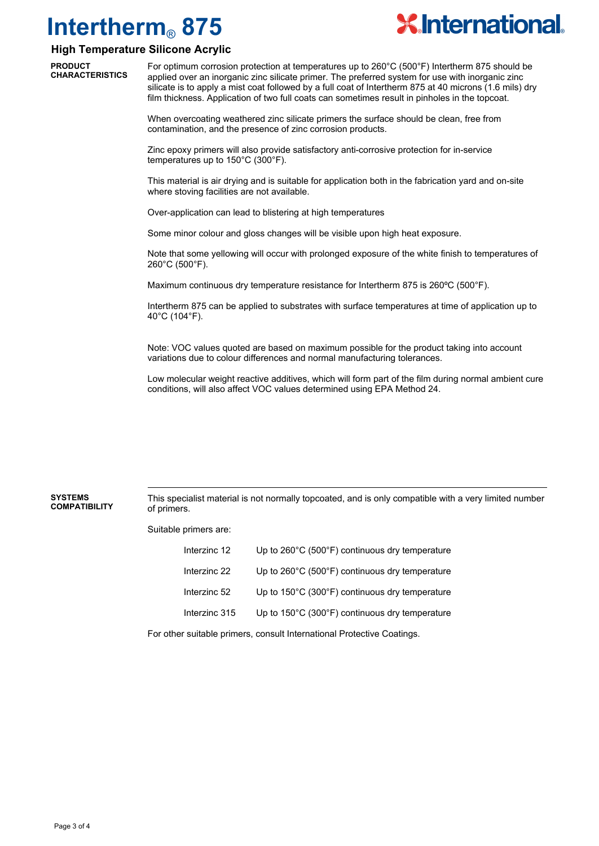

### **High Temperature Silicone Acrylic**

**PRODUCT CHARACTERISTICS**

For optimum corrosion protection at temperatures up to 260°C (500°F) Intertherm 875 should be applied over an inorganic zinc silicate primer. The preferred system for use with inorganic zinc silicate is to apply a mist coat followed by a full coat of Intertherm 875 at 40 microns (1.6 mils) dry film thickness. Application of two full coats can sometimes result in pinholes in the topcoat.

When overcoating weathered zinc silicate primers the surface should be clean, free from contamination, and the presence of zinc corrosion products.

Zinc epoxy primers will also provide satisfactory anti-corrosive protection for in-service temperatures up to 150°C (300°F).

This material is air drying and is suitable for application both in the fabrication yard and on-site where stoving facilities are not available.

Over-application can lead to blistering at high temperatures

Some minor colour and gloss changes will be visible upon high heat exposure.

Note that some yellowing will occur with prolonged exposure of the white finish to temperatures of 260°C (500°F).

Maximum continuous dry temperature resistance for Intertherm 875 is 260ºC (500°F).

Intertherm 875 can be applied to substrates with surface temperatures at time of application up to 40°C (104°F).

Note: VOC values quoted are based on maximum possible for the product taking into account variations due to colour differences and normal manufacturing tolerances.

Low molecular weight reactive additives, which will form part of the film during normal ambient cure conditions, will also affect VOC values determined using EPA Method 24.

This specialist material is not normally topcoated, and is only compatible with a very limited number of primers. **SYSTEMS COMPATIBILITY**

Suitable primers are:

| Interzinc 12  | Up to 260°C (500°F) continuous dry temperature                      |
|---------------|---------------------------------------------------------------------|
| Interzinc 22  | Up to 260°C (500°F) continuous dry temperature                      |
| Interzinc 52  | Up to 150°C (300°F) continuous dry temperature                      |
| Interzinc 315 | Up to $150^{\circ}$ C (300 $^{\circ}$ F) continuous dry temperature |
|               |                                                                     |

For other suitable primers, consult International Protective Coatings.